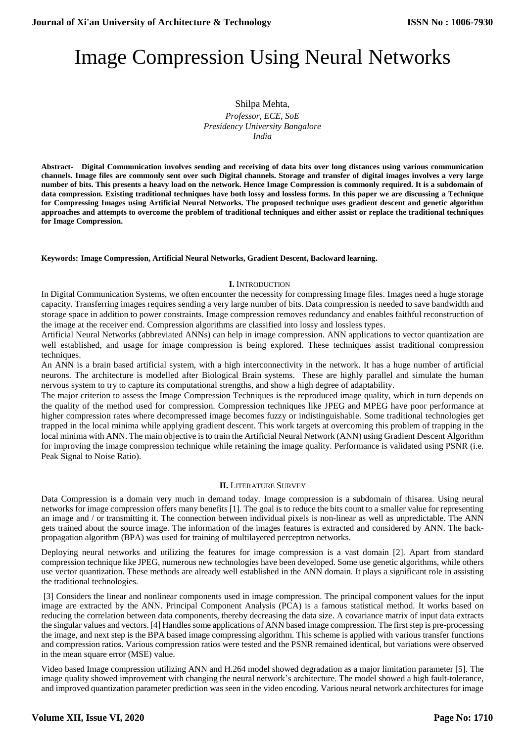# Image Compression Using Neural Networks

Shilpa Mehta, *Professor, ECE, SoE Presidency University Bangalore India* 

**Abstract- Digital Communication involves sending and receiving of data bits over long distances using various communication channels. Image files are commonly sent over such Digital channels. Storage and transfer of digital images involves a very large number of bits. This presents a heavy load on the network. Hence Image Compression is commonly required. It is a subdomain of data compression. Existing traditional techniques have both lossy and lossless forms. In this paper we are discussing a Technique for Compressing Images using Artificial Neural Networks. The proposed technique uses gradient descent and genetic algorithm approaches and attempts to overcome the problem of traditional techniques and either assist or replace the traditional techniques for Image Compression.**

#### **Keywords: Image Compression, Artificial Neural Networks, Gradient Descent, Backward learning.**

#### **I.** INTRODUCTION

In Digital Communication Systems, we often encounter the necessity for compressing Image files. Images need a huge storage capacity. Transferring images requires sending a very large number of bits. Data compression is needed to save bandwidth and storage space in addition to power constraints. Image compression removes redundancy and enables faithful reconstruction of the image at the receiver end. Compression algorithms are classified into lossy and lossless types.

Artificial Neural Networks (abbreviated ANNs) can help in image compression. ANN applications to vector quantization are well established, and usage for image compression is being explored. These techniques assist traditional compression techniques.

An ANN is a brain based artificial system, with a high interconnectivity in the network. It has a huge number of artificial neurons. The architecture is modelled after Biological Brain systems. These are highly parallel and simulate the human nervous system to try to capture its computational strengths, and show a high degree of adaptability.

The major criterion to assess the Image Compression Techniques is the reproduced image quality, which in turn depends on the quality of the method used for compression. Compression techniques like JPEG and MPEG have poor performance at higher compression rates where decompressed image becomes fuzzy or indistinguishable. Some traditional technologies get trapped in the local minima while applying gradient descent. This work targets at overcoming this problem of trapping in the local minima with ANN. The main objective is to train the Artificial Neural Network (ANN) using Gradient Descent Algorithm for improving the image compression technique while retaining the image quality. Performance is validated using PSNR (i.e. Peak Signal to Noise Ratio).

#### **II.** LITERATURE SURVEY

Data Compression is a domain very much in demand today. Image compression is a subdomain of thisarea. Using neural networks for image compression offers many benefits [1]. The goal is to reduce the bits count to a smaller value for representing an image and / or transmitting it. The connection between individual pixels is non-linear as well as unpredictable. The ANN gets trained about the source image. The information of the images features is extracted and considered by ANN. The backpropagation algorithm (BPA) was used for training of multilayered perceptron networks.

Deploying neural networks and utilizing the features for image compression is a vast domain [2]. Apart from standard compression technique like JPEG, numerous new technologies have been developed. Some use genetic algorithms, while others use vector quantization. These methods are already well established in the ANN domain. It plays a significant role in assisting the traditional technologies.

[3] Considers the linear and nonlinear components used in image compression. The principal component values for the input image are extracted by the ANN. Principal Component Analysis (PCA) is a famous statistical method. It works based on reducing the correlation between data components, thereby decreasing the data size. A covariance matrix of input data extracts the singular values and vectors. [4] Handlessome applications of ANN based image compression. The first step is pre-processing the image, and next step is the BPA based image compressing algorithm. This scheme is applied with various transfer functions and compression ratios. Various compression ratios were tested and the PSNR remained identical, but variations were observed in the mean square error (MSE) value.

Video based Image compression utilizing ANN and H.264 model showed degradation as a major limitation parameter [5]. The image quality showed improvement with changing the neural network's architecture. The model showed a high fault-tolerance, and improved quantization parameter prediction was seen in the video encoding. Various neural network architectures for image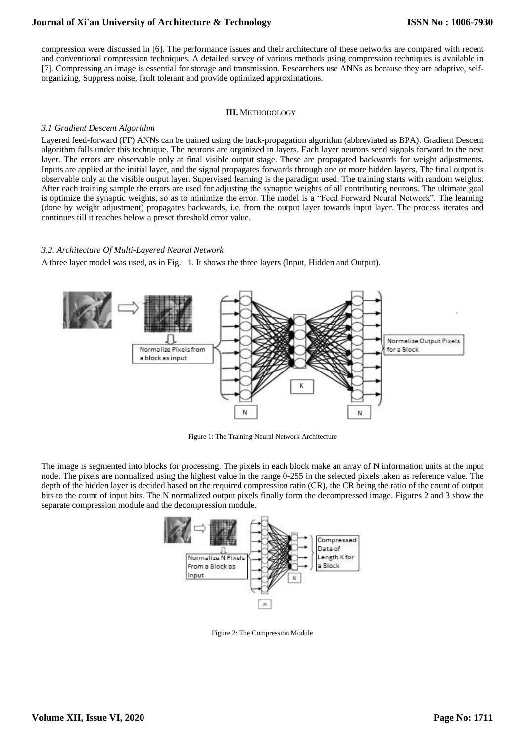## **Journal of Xi'an University of Architecture & Technology**

compression were discussed in [6]. The performance issues and their architecture of these networks are compared with recent and conventional compression techniques. A detailed survey of various methods using compression techniques is available in [7]. Compressing an image is essential for storage and transmission. Researchers use ANNs as because they are adaptive, selforganizing, Suppress noise, fault tolerant and provide optimized approximations.

### **III.** METHODOLOGY

## *3.1 Gradient Descent Algorithm*

Layered feed-forward (FF) ANNs can be trained using the back-propagation algorithm (abbreviated as BPA). Gradient Descent algorithm falls under this technique. The neurons are organized in layers. Each layer neurons send signals forward to the next layer. The errors are observable only at final visible output stage. These are propagated backwards for weight adjustments. Inputs are applied at the initial layer, and the signal propagates forwards through one or more hidden layers. The final output is observable only at the visible output layer. Supervised learning is the paradigm used. The training starts with random weights. After each training sample the errors are used for adjusting the synaptic weights of all contributing neurons. The ultimate goal is optimize the synaptic weights, so as to minimize the error. The model is a "Feed Forward Neural Network". The learning (done by weight adjustment) propagates backwards, i.e. from the output layer towards input layer. The process iterates and continues till it reaches below a preset threshold error value.

## *3.2. Architecture Of Multi-Layered Neural Network*

A three layer model was used, as in Fig. 1. It shows the three layers (Input, Hidden and Output).



Figure 1: The Training Neural Network Architecture

The image is segmented into blocks for processing. The pixels in each block make an array of N information units at the input node. The pixels are normalized using the highest value in the range 0-255 in the selected pixels taken as reference value. The depth of the hidden layer is decided based on the required compression ratio (CR), the CR being the ratio of the count of output bits to the count of input bits. The N normalized output pixels finally form the decompressed image. Figures 2 and 3 show the separate compression module and the decompression module.



Figure 2: The Compression Module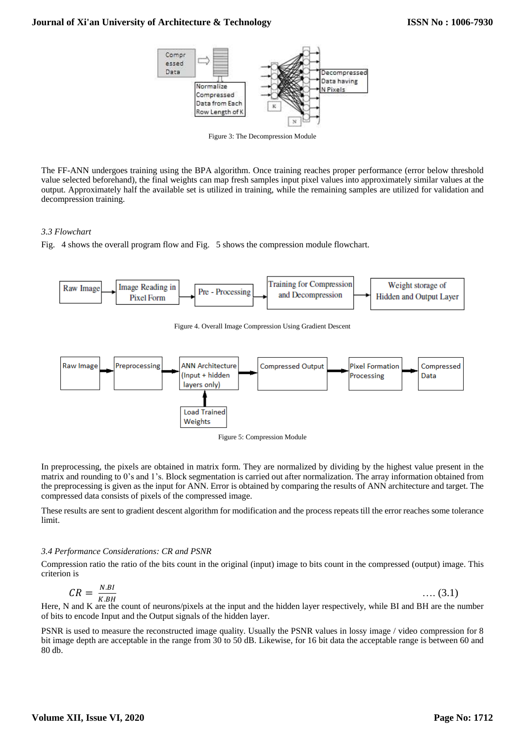

Figure 3: The Decompression Module

The FF-ANN undergoes training using the BPA algorithm. Once training reaches proper performance (error below threshold value selected beforehand), the final weights can map fresh samples input pixel values into approximately similar values at the output. Approximately half the available set is utilized in training, while the remaining samples are utilized for validation and decompression training.

## *3.3 Flowchart*

Fig. 4 shows the overall program flow and Fig. 5 shows the compression module flowchart.



In preprocessing, the pixels are obtained in matrix form. They are normalized by dividing by the highest value present in the matrix and rounding to 0's and 1's. Block segmentation is carried out after normalization. The array information obtained from the preprocessing is given as the input for ANN. Error is obtained by comparing the results of ANN architecture and target. The compressed data consists of pixels of the compressed image.

These results are sent to gradient descent algorithm for modification and the process repeats till the error reaches some tolerance limit.

## *3.4 Performance Considerations: CR and PSNR*

Compression ratio the ratio of the bits count in the original (input) image to bits count in the compressed (output) image. This criterion is

$$
CR = \frac{N.BI}{K.BH} \qquad \qquad \dots (3.1)
$$

Here, N and K are the count of neurons/pixels at the input and the hidden layer respectively, while BI and BH are the number of bits to encode Input and the Output signals of the hidden layer.

PSNR is used to measure the reconstructed image quality. Usually the PSNR values in lossy image / video compression for 8 bit image depth are acceptable in the range from 30 to 50 dB. Likewise, for 16 bit data the acceptable range is between 60 and 80 db.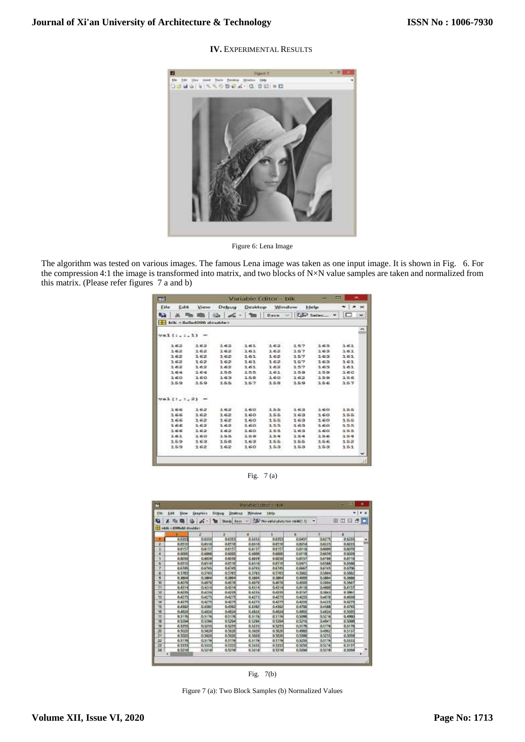## **Journal of Xi'an University of Architecture & Technology**

## **IV.** EXPERIMENTAL RESULTS



Figure 6: Lena Image

The algorithm was tested on various images. The famous Lena image was taken as one input image. It is shown in Fig. 6. For the compression 4:1 the image is transformed into matrix, and two blocks of N×N value samples are taken and normalized from this matrix. (Please refer figures 7 a and b)

| ٣Ħ   |              |                              |     |      | Variable Editor - blk |       |                                  | ш<br>×            |   |
|------|--------------|------------------------------|-----|------|-----------------------|-------|----------------------------------|-------------------|---|
| Eile | Edit         | View                         |     |      | Debug Desktop Window  |       | Help                             | $+1$ $+$ $\times$ |   |
| a.   |              |                              |     |      |                       |       | ■ Go du - 1   Base - 150 Salec v | ▭                 | w |
|      |              | blk<br>blk<br>blk<br>blk<br> |     |      |                       |       |                                  |                   |   |
|      |              |                              |     |      |                       |       |                                  |                   | ÷ |
|      | $val$ :.:.1) |                              |     |      |                       |       |                                  |                   |   |
|      | 162          | 162                          | 162 | 161  | 162                   | 157   | 165                              | 3.61              |   |
|      | 162          | 162                          | 162 | 161  | 162                   | 157   | 163                              | 363               |   |
|      | 162          | 162                          | 162 | 161  | 162                   | 157   | 163                              | 161               |   |
|      | 162          | 162                          | 162 | 161  | 162                   | 157   | 162                              | 161               |   |
|      | 162          | 162                          | 162 | 161  | 162                   | 157   | 163                              | 161               |   |
|      | 1.64         | 164                          | 156 | 155  | 161                   | 159   | 159                              | 160               |   |
|      | 160          | 160                          | 163 | 158  | 160                   | 162   | 159                              | ユニモ               |   |
|      | 159          | 159                          | 155 | 157  | 159                   | 159   | 156                              | 157               |   |
|      | val(1, 1, 2) |                              |     |      |                       |       |                                  |                   |   |
|      | 生姜醛          | 162                          | ユモ正 | 160  | 155                   | 163   | 360                              | 11 L-15<br>155    |   |
|      | 166          | 162                          | 162 | 160  | 155                   | 162   | 160                              | 1.5.5             |   |
|      | 3.66         | 162                          | 162 | 160  | 155                   | 163   | 160                              | 155               |   |
|      | 3.66         | 162                          | 162 | 160  | 155                   | 163   | 160                              | 155               |   |
|      | 166          | 162                          | 162 | 160  | 1.5.5                 | 163   | 160                              | 1.5.5             |   |
|      | 161          | 3.60                         | 生物科 | 159  | 1.54                  | 154   | 156                              | 354               |   |
|      | 159          | 163.                         | 158 | 1.62 | 3.5.5                 | 155   | 156                              | 152               |   |
|      | 159          | 162                          | 162 | 1.60 | 153                   | 1.5.3 | 153                              | 151               |   |
|      |              |                              |     |      |                       |       |                                  |                   |   |

Fig. 7 (a)

| <b>Tile</b>     | Exit<br><b>Yiew</b>   | <b>Enaphics</b> | Dealthra<br>lichuu | <b>Trimstow</b> | Help                              |              |                |         | $\bullet \times$ |
|-----------------|-----------------------|-----------------|--------------------|-----------------|-----------------------------------|--------------|----------------|---------|------------------|
| v               |                       | $\mathscr{L}$ - | <b>Stock: Base</b> |                 | DAF No valid plots feet rink(1.1) |              |                | 田田日子口   |                  |
|                 | able <8000v54 double> |                 |                    |                 |                                   |              |                |         |                  |
|                 |                       | 27              |                    | ×               | s                                 | к            | э              | ٠       |                  |
|                 | 0.6353                | 0.6553          | 0.675.9            | 0.6553          | 0.6355                            | 0.6431       | 0.6275         | 0.6295  | ×                |
| 罩               | 0.5510                | 0.6516          | 0.6510             | 0.6510          | 0.8510                            | 0.6314       | 0.6225         | 0.6225  |                  |
| a               | <b>BAIS7</b>          | 0.6157          | 0.6157             | 6.6157          | 0.6157                            | 0.6118       | <b>ILAXABI</b> | 0.0008  |                  |
| ۵               | 6.500                 | 0.4000          | 6,6000             | 0.6666          | 0.6000                            | 0.6118       | 16038          | 4,6099  |                  |
| s               | 6,5092                | 0.6039          | 0.0039             | 0.6004          | 0.60%                             | 0.6157       | 0.6756         | 4,6118  |                  |
| ö               | 0.0510                | 0.5510          | 0.0510             | 0.6510          | 0.6510                            | 0.6471       | 9,6544         | 0.0388  |                  |
| ν               | 0.6785                | 0.6745          | <b>DATION</b>      | 0.6745          | 0.57.95                           | <b>GEGAT</b> | <b>DATAS</b>   | 4.6736  |                  |
| ä               | 0.5705                | 0.5765          | 0.5765             | 0.5785          | 0.5765                            | 0.580        | 0.5804         | 6,5887  |                  |
| y               | 0.3334                | 0,3804          | 0,3004             | 0.3804          | 0.3004                            | 0,4000       | 0.3804         | 0.3685  |                  |
| 70              | 6.4373                | 0.4078          | 0.4078             | 0.40/1          | 0.4070                            | 0.4000       | 0.1864         | 4,3647  |                  |
| Ŧ1              | 0.4314                | 0.4114          | 0.4914             | 0.4354          | 0.4314                            | <b>GALTE</b> | 0.4000         | 8,4157  |                  |
| u               | 0.4235                | <b>BATIS</b>    | 0.4225             | 6,4235          | 0.4331                            | 8.4157       | <b>D.MAY</b>   | 1.196   |                  |
| 当               | 0.4275                | 0.4275          | 0.4275             | 0.4275          | 0.4275                            | 0.4295       | 0.4078         | 6.4093  |                  |
| 14              | 0.4275                | 0.4273          | 0.4275             | 0.4275          | 0.4275                            | 0.4235       | 0.4235         | 6,4275  |                  |
| $\overline{15}$ | 0.4332                | <b>D.4393</b>   | 0.4092             | 0.4392          | 0.4392                            | 0.4705       | 0.4588         | 0.4745  |                  |
| $^{14}$         | 0.4835                | 0.4874          | 0.485.6            | 6,482.8         | 0.4834                            | 0.4907       | 5,483,4        | 0.5020  |                  |
| T7              | 0.5176                | 0.5176          | 0.5726             | 0.5/75          | 0.5176                            | 0.5098       | 0.5216         | 0.4953  |                  |
| 18              | 05294                 | 0.5294          | 0.5264             | 0.5294          | 0.5204                            | 05/16        | D.4647         | 0.5008  |                  |
| 72              | 0.3255                | 0,5253          | 0.5255             | 0.3255          | 0.3255                            | 0.5176       | 0.5176         | 0.5170  |                  |
| 20              | 0.9370                | 0,5070          | 0.5020             | 8,9020          | 0.5020                            | 0.4980       | 0.4562         | 6.5137  |                  |
| я               | 6,5320                | 0.5036          | 6,5000             | 6,5520          | 0.5020                            | 0.5098       | 0.1315         | 4.5057  |                  |
| 22              | 0.5176                | 0.5176          | 0.5176             | 6,5776          | 0.5776                            | 0.5255       | 0.5176         | 4,533.9 |                  |
| 23              | 0.5333                | 0.5533          | 0.5333             | 0.3555          | 0.3333                            | 0.5755       | D.5276         | 0.5137  |                  |
| 34              | 0.5210<br>ĸч          | 0.5216          | 0.5216             | 6.5216          | 0.5216                            | 0.5294       | 0.5216         | 4,5099  | ×                |

Fig. 7(b)

Figure 7 (a): Two Block Samples (b) Normalized Values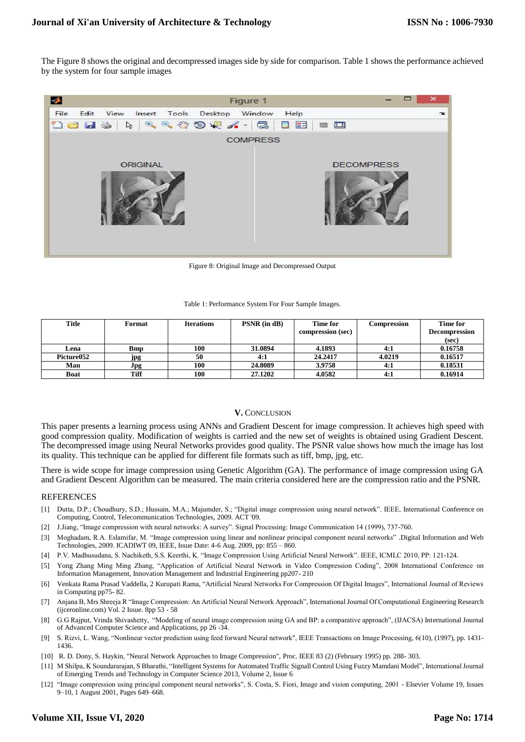The Figure 8 shows the original and decompressed images side by side for comparison. Table 1 shows the performance achieved by the system for four sample images



Figure 8: Original Image and Decompressed Output

Table 1: Performance System For Four Sample Images.

| Title       | Format | <b>Iterations</b> | $PSNR$ (in $dB$ ) | Time for          | Compression | Time for             |  |
|-------------|--------|-------------------|-------------------|-------------------|-------------|----------------------|--|
|             |        |                   |                   | compression (sec) |             | <b>Decompression</b> |  |
|             |        |                   |                   |                   |             | (sec)                |  |
| Lena        | Bmp    | 100               | 31.0894           | 4.1893            | 4:1         | 0.16758              |  |
| Picture052  | jpg    | 50                | 4:1               | 24.2417           | 4.0219      | 0.16517              |  |
| Man         | Jpg    | 100               | 24.8089           | 3.9758            | 4:1         | 0.18531              |  |
| <b>Boat</b> | Tiff   | 100               | 27.1202           | 4.0582            | 4:1         | 0.16914              |  |

#### **V.** CONCLUSION

This paper presents a learning process using ANNs and Gradient Descent for image compression. It achieves high speed with good compression quality. Modification of weights is carried and the new set of weights is obtained using Gradient Descent. The decompressed image using Neural Networks provides good quality. The PSNR value shows how much the image has lost its quality. This technique can be applied for different file formats such as tiff, bmp, jpg, etc.

There is wide scope for image compression using Genetic Algorithm (GA). The performance of image compression using GA and Gradient Descent Algorithm can be measured. The main criteria considered here are the compression ratio and the PSNR.

#### **REFERENCES**

- [1] Dutta, D.P.; Choudhury, S.D.; Hussain, M.A.; Majumder, S.; "Digital image compression using neural network". IEEE, International Conference on Computing, Control, Telecommunication Technologies, 2009. ACT '09.
- [2] J.Jiang, "Image compression with neural networks: A survey". Signal Processing: Image Communication 14 (1999), 737-760.
- [3] Moghadam, R.A. Eslamifar, M. "Image compression using linear and nonlinear principal component neural networks" .Digital Information and Web Technologies, 2009. ICADIWT 09, IEEE, Issue Date: 4-6 Aug. 2009, pp: 855 – 860.
- [4] P.V. Madhusudana, S. Nachiketh, S.S. Keerthi, K. "Image Compression Using Artificial Neural Network". IEEE, ICMLC 2010, PP: 121-124.
- [5] Yong Zhang Ming Ming Zhang, "Application of Artificial Neural Network in Video Compression Coding", 2008 International Conference on Information Management, Innovation Management and Industrial Engineering pp207- 210
- [6] Venkata Rama Prasad Vaddella, 2 Kurupati Rama, "Artificial Neural Networks For Compression Of Digital Images", International Journal of Reviews in Computing pp75- 82.
- [7] Anjana B, Mrs Shreeja R "Image Compression: An Artificial Neural Network Approach", International Journal Of Computational Engineering Research (ijceronline.com) Vol. 2 Issue. 8pp 53 - 58
- [8] G.G Rajput, Vrinda Shivashetty, "Modeling of neural image compression using GA and BP: a comparative approach", (IJACSA) International Journal of Advanced Computer Science and Applications, pp 26 -34.
- [9] S. Rizvi, L. Wang, "Nonlinear vector prediction using feed forward Neural network", IEEE Transactions on Image Processing, 6(10), (1997), pp. 1431- 1436.
- [10] R. D. Dony, S. Haykin, "Neural Network Approaches to Image Compression", Proc. IEEE 83 (2) (February 1995) pp. 288- 303.
- [11] M Shilpa, K Soundararajan, S Bharathi, ["Intelligent Systems for Automated Traffic Signall Control Using Fuzzy Mamdani Model"](javascript:void(0)), International Journal of Emerging Trends and Technology in Computer Science 2013, Volume 2, Issue 6
- [12] "Image compression using principal component neural networks", S. Costa, S. Fiori, Image and vision computing, 2001 Elsevier Volume 19, Issues 9–10, 1 August 2001, Pages 649–668.